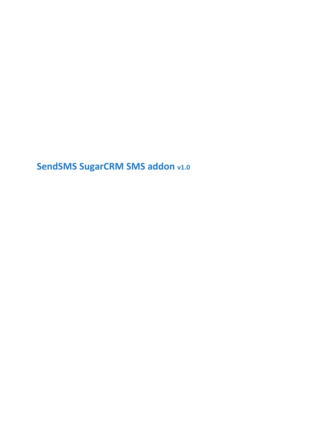SendSMS SugarCRM SMS addon v1.0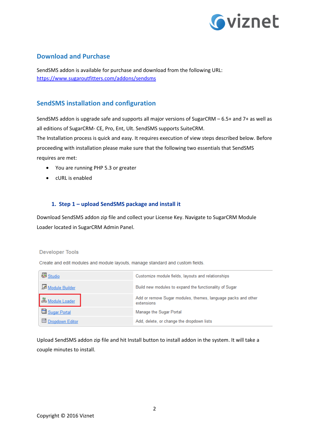

# Download and Purchase

SendSMS addon is available for purchase and download from the following URL: https://www.sugaroutfitters.com/addons/sendsms

# SendSMS installation and configuration

SendSMS addon is upgrade safe and supports all major versions of SugarCRM – 6.5+ and 7+ as well as all editions of SugarCRM- CE, Pro, Ent, Ult. SendSMS supports SuiteCRM. The Installation process is quick and easy. It requires execution of view steps described below. Before proceeding with installation please make sure that the following two essentials that SendSMS requires are met:

- You are running PHP 5.3 or greater
- cURL is enabled

## 1. Step 1 – upload SendSMS package and install it

Download SendSMS addon zip file and collect your License Key. Navigate to SugarCRM Module Loader located in SugarCRM Admin Panel.

#### **Developer Tools**

Create and edit modules and module layouts, manage standard and custom fields.

| ම් Studio              | Customize module fields, layouts and relationships                          |
|------------------------|-----------------------------------------------------------------------------|
| Module Builder         | Build new modules to expand the functionality of Sugar                      |
| <b>B</b> Module Loader | Add or remove Sugar modules, themes, language packs and other<br>extensions |
| Sugar Portal           | Manage the Sugar Portal                                                     |
| <b>Editor</b>          | Add, delete, or change the dropdown lists                                   |

Upload SendSMS addon zip file and hit Install button to install addon in the system. It will take a couple minutes to install.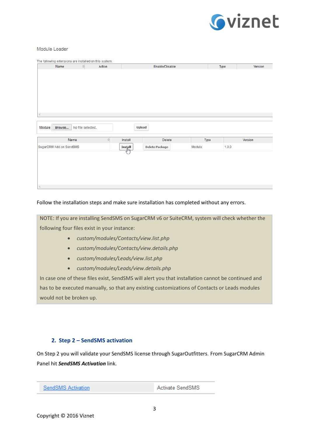

#### Module Loader

The following extensions are installed on this system Enable/Disable Name  $\Rightarrow$ Action Type Version Module Browse... No file selected. **Upload** Name Instal Delete Type Version  $\begin{array}{c}\n\text{Install} \\
\hline\n\end{array}$ SugarCRM Add-on SendSMS **Delete Package** Module  $100$ 

Follow the installation steps and make sure installation has completed without any errors.

NOTE: If you are installing SendSMS on SugarCRM v6 or SuiteCRM, system will check whether the following four files exist in your instance:

- custom/modules/Contacts/view.list.php
- custom/modules/Contacts/view.details.php
- custom/modules/Leads/view.list.php
- custom/modules/Leads/view.details.php

In case one of these files exist, SendSMS will alert you that installation cannot be continued and has to be executed manually, so that any existing customizations of Contacts or Leads modules would not be broken up.

### 2. Step 2 – SendSMS activation

On Step 2 you will validate your SendSMS license through SugarOutfitters. From SugarCRM Admin Panel hit SendSMS Activation link.

**SendSMS Activation** 

**Activate SendSMS**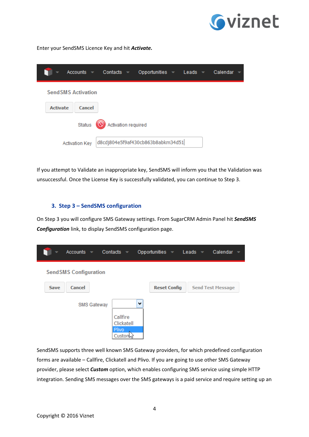

Enter your SendSMS Licence Key and hit Activate.

| Accounts $\sim$           | Contacts $\equiv$   | Opportunities $\sim$ Leads $\sim$ | Calendar |
|---------------------------|---------------------|-----------------------------------|----------|
| <b>SendSMS Activation</b> |                     |                                   |          |
| <b>Activate</b><br>Cancel |                     |                                   |          |
| Status                    | Activation required |                                   |          |
| <b>Activation Key</b>     |                     | d8cdj804e5f9af430cb863b8abkm34d51 |          |

If you attempt to Validate an inappropriate key, SendSMS will inform you that the Validation was unsuccessful. Once the License Key is successfully validated, you can continue to Step 3.

### 3. Step 3 – SendSMS configuration

On Step 3 you will configure SMS Gateway settings. From SugarCRM Admin Panel hit SendSMS Configuration link, to display SendSMS configuration page.

| Accounts $\sim$ Contacts $\sim$ |                | Opportunities —     | Leads $\equiv$<br>Calendar<br>$\overline{\phantom{a}}$ |
|---------------------------------|----------------|---------------------|--------------------------------------------------------|
| <b>SendSMS Configuration</b>    |                |                     |                                                        |
| Cancel<br><b>Save</b>           |                | <b>Reset Config</b> | <b>Send Test Message</b>                               |
| SMS Gateway                     | ٧              |                     |                                                        |
|                                 | Callfire       |                     |                                                        |
|                                 | Clickatell     |                     |                                                        |
|                                 | Plivo<br>Custo |                     |                                                        |

SendSMS supports three well known SMS Gateway providers, for which predefined configuration forms are available – Callfire, Clickatell and Plivo. If you are going to use other SMS Gateway provider, please select Custom option, which enables configuring SMS service using simple HTTP integration. Sending SMS messages over the SMS gateways is a paid service and require setting up an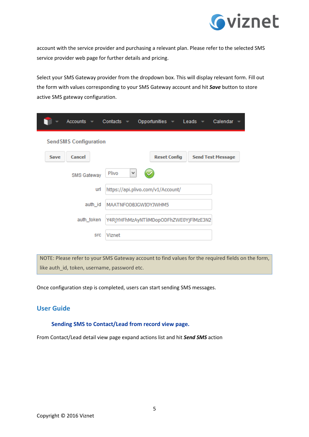

account with the service provider and purchasing a relevant plan. Please refer to the selected SMS service provider web page for further details and pricing.

Select your SMS Gateway provider from the dropdown box. This will display relevant form. Fill out the form with values corresponding to your SMS Gateway account and hit Save button to store active SMS gateway configuration.

| $Accounts =$                 |                                        |                     | Contacts Opportunities Leads Calendar |
|------------------------------|----------------------------------------|---------------------|---------------------------------------|
| <b>SendSMS Configuration</b> |                                        |                     |                                       |
| Cancel<br><b>Save</b>        |                                        | <b>Reset Config</b> | <b>Send Test Message</b>              |
| SMS Gateway                  | Plivo<br>٧                             |                     |                                       |
| url                          | https://api.plivo.com/v1/Account/      |                     |                                       |
| auth_id                      | MAATNFODBJGWIOYJWHM5                   |                     |                                       |
| auth token                   | Y4RjYHFhMzAyNTliMDopODFhZWE0YjFlMzE3N2 |                     |                                       |
| <b>SFC</b>                   | Viznet                                 |                     |                                       |

NOTE: Please refer to your SMS Gateway account to find values for the required fields on the form, like auth id, token, username, password etc.

Once configuration step is completed, users can start sending SMS messages.

## User Guide

### Sending SMS to Contact/Lead from record view page.

From Contact/Lead detail view page expand actions list and hit Send SMS action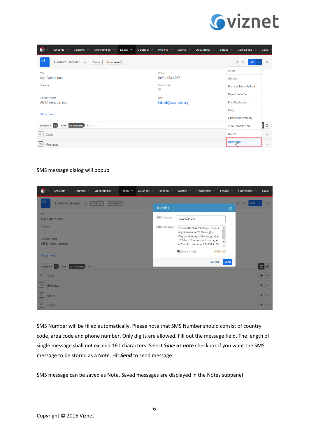# **Gviznet**

| Contacts $\sim$<br>Opportunities -<br>Leads $\blacktriangledown$<br>Calendar $\sim$<br>Accounts $\equiv$ | Reports $-$<br>$Quotes =$<br>Documents - | Emails $\sim$<br>Campaigns $\sim$ | Calls                    |
|----------------------------------------------------------------------------------------------------------|------------------------------------------|-----------------------------------|--------------------------|
| Le<br>Diamond Jacquet<br>☆<br>Follow<br>Unconverted                                                      |                                          | Edit<br>∢<br>⋗<br>۰               | $\gg$                    |
| Title                                                                                                    | Mobile                                   | Share                             |                          |
| <b>Mgr Operations</b>                                                                                    | $(000)$ 423-4047                         | Convert                           |                          |
| Website                                                                                                  | Do Not Call<br>$\Box$                    | <b>Manage Subscriptions</b>       |                          |
| <b>Account Name</b>                                                                                      | Email                                    | Download vCard                    |                          |
| <b>AB Drivers Limited</b>                                                                                | kid.kid@example.org                      | <b>Find Duplicates</b>            |                          |
|                                                                                                          |                                          | Copy                              |                          |
| Show more                                                                                                |                                          | <b>Historical Summary</b>         |                          |
| Filter All Records<br>$Related \nightharpoonup \nightharpoonup \nightharpoonup$ All<br>Search            |                                          | View Change Log                   | $\odot$<br>81            |
| CI<br>Calls                                                                                              |                                          | <b>Delete</b>                     | $\overline{\phantom{a}}$ |
| Me<br>Meetings                                                                                           |                                          | Send SMS                          | $\overline{\phantom{a}}$ |

#### SMS message dialog will popup



SMS Number will be filled automatically. Please note that SMS Number should consist of country code, area code and phone number. Only digits are allowed. Fill out the message field. The length of single message shall not exceed 160 characters. Select Save as note checkbox if you want the SMS message to be stored as a Note. Hit **Send** to send message.

SMS message can be saved as Note. Saved messages are displayed in the Notes subpanel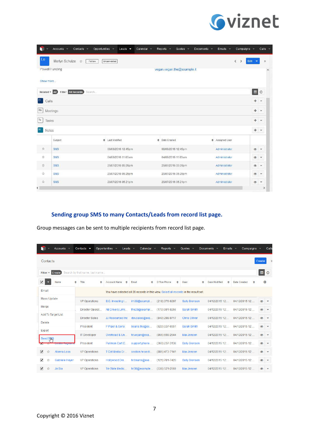

| П<br>٠ | Contacts -<br>Accounts -               | Opportunities - | Leads $\blacktriangleright$<br>Calendar - | Reports -<br>Quotes -      | Documents - | Emails -      | Campaigns -                |                                  | Calls -                  |
|--------|----------------------------------------|-----------------|-------------------------------------------|----------------------------|-------------|---------------|----------------------------|----------------------------------|--------------------------|
| Le     | Merlyn Schulze<br>奇                    | Follow          | Unconverted                               |                            |             |               | $\langle$<br>$\rightarrow$ | Edit<br>$\overline{\phantom{a}}$ |                          |
|        | Powell Funding                         |                 |                                           | vegan.vegan.the@example.it |             |               |                            |                                  |                          |
|        | Show more                              |                 |                                           |                            |             |               |                            |                                  |                          |
|        | $Related =  All$<br>Filter All Records | Search          |                                           |                            |             |               |                            | $\blacksquare$                   |                          |
| Calls  |                                        |                 |                                           |                            |             |               |                            | $+$                              | $\mathbf{v}$             |
|        | Meetings                               |                 |                                           |                            |             |               |                            | $+$                              | $\;$ $\;$                |
|        | Tasks                                  |                 |                                           |                            |             |               |                            | $\div$                           | $\overline{\phantom{a}}$ |
|        | Notes                                  |                 |                                           |                            |             |               |                            | $+$                              | $\;$ $\;$                |
|        | Subject                                | ÷               | Last Modified                             | <b>Created</b>             | ٠           | Assigned User |                            |                                  |                          |
| ☆      | <b>SMS</b>                             |                 | 08/08/2016 12:45pm                        | 08/08/2016 12:45pm         |             | Administrator |                            | $\circ$ $\circ$                  |                          |
| 쓚      | <b>SMS</b>                             |                 | 04/08/2016 11:03am                        | 04/08/2016 11:03am         |             | Administrator |                            | $^{\circledR}$                   | $\mathcal{R}$            |
| ☆      | SMS                                    |                 | 29/07/2016 05:26pm                        | 29/07/2016 05:26pm         |             | Administrator |                            | $^{\circ}$                       | $\mathbf{v}$             |
| ☆      | SMS                                    |                 | 29/07/2016 05:25pm                        | 29/07/2016 05:25pm         |             | Administrator |                            | $\circledast$                    | $\;$                     |
| ☆      | SMS                                    |                 | 29/07/2016 05:21pm                        | 29/07/2016 05:21pm         |             | Administrator |                            | $^{\circledR}$                   | $\mathbf{v}$             |

# Sending group SMS to many Contacts/Leads from record list page.

Group messages can be sent to multiple recipients from record list page.

| Accounts $\equiv$                      | Contacts $\blacktriangleright$  | Opportunities<br>Leads<br>$\overline{\phantom{a}}$ | Calendar $=$                                                                         | Reports =         | Quotes $\sim$        | <b>Documents</b><br>Emails<br>$\overline{\phantom{a}}$ | Campaigns -<br>$\overline{\phantom{a}}$ | Calls                                      |
|----------------------------------------|---------------------------------|----------------------------------------------------|--------------------------------------------------------------------------------------|-------------------|----------------------|--------------------------------------------------------|-----------------------------------------|--------------------------------------------|
| Contacts                               |                                 |                                                    |                                                                                      |                   |                      |                                                        |                                         | $\gg$<br>Create                            |
| Filter v Create                        | Search by first name, last name |                                                    |                                                                                      |                   |                      |                                                        |                                         | ⊞<br>$\odot$                               |
| ☑<br>$\blacktriangledown$<br>Name<br>٠ | Title<br>٠                      | <b>Account Name</b><br>≜                           | ≜<br>Email                                                                           | Office Phone<br>♠ | User<br>٠            | <b>Date Modified</b><br>٠                              | <b>Date Created</b>                     | o                                          |
| Email                                  |                                 |                                                    | You have selected all 20 records in this view. Select all records in the result set. |                   |                      |                                                        |                                         |                                            |
| <b>Mass Update</b>                     | <b>VP Operations</b>            | B.C. Investing I                                   | im38@exampl                                                                          | (218) 376-9297    | <b>Sally Bronsen</b> | 04/12/2015 12:                                         | 04/12/2015 12:                          | $\bullet$ $\bullet$                        |
| Merge                                  | Director Operat                 | AB Drivers Limi                                    | the29@exampl                                                                         | (170) 991-9256    | <b>Sarah Smith</b>   | 04/12/2015 12:                                         | 04/12/2015 12:                          | $\circ$ $\cdot$                            |
| <b>Add To Target List</b>              | <b>Director Sales</b>           | JJ Resources Inc.                                  | dev.sales@exa                                                                        | (849) 298-9717    | <b>Chris Olliver</b> | 04/12/2015 12:                                         | 04/12/2015 12:                          | $\circ$ $\cdot$                            |
| <b>Delete</b>                          | President                       | P Piper & Sons                                     | beans.the@ex                                                                         | (620) 037-6551    | Sarah Smith          | 04/12/2015 12:                                         | 04/12/2015 12:                          | $\bullet$ $\bullet$                        |
| Export<br>Send SMS                     | <b>IT Developer</b>             | Overhead & Un                                      | hr.vegan@exa                                                                         | (866) 698-2644    | Max Jensen           | 04/12/2015 12:                                         | 04/12/2015 12:                          | $\bullet$ $\bullet$                        |
| <b>Leater Angevine</b><br>w            | President                       | Pullman Cart C                                     | support.phone                                                                        | (369) 237-3138    | <b>Sally Bronsen</b> | 04/12/2015 12:                                         | 04/12/2015 12:                          | $\circ$ $\cdot$                            |
| ▿<br>☆<br>Alanna Loos                  | <b>VP Operations</b>            | T-Cat Media Gr                                     | section.hr.secti                                                                     | (885) 473-7141    | Max Jensen           | 04/12/2015 12:                                         | 04/12/2015 12:                          | $\circ$ $\cdot$                            |
| ▿<br>☆<br><b>Gabriele Hever</b>        | <b>VP Operations</b>            | Hollywood Din                                      | hr.beans@exa                                                                         | (121) 781-7420    | Sally Bronsen        | 04/12/2015 12:                                         | 04/12/2015 12:                          | $\bullet$<br>$\overline{\phantom{a}}$      |
| ⊽<br>Ja Sia<br>✿                       | <b>VP Operations</b>            | Tri-State Medic                                    | hr30@example                                                                         | (538) 521-2669    | Max Jensen           | 04/12/2015 12:                                         | 04/12/2015 12:                          | $\circledcirc$<br>$\overline{\phantom{a}}$ |